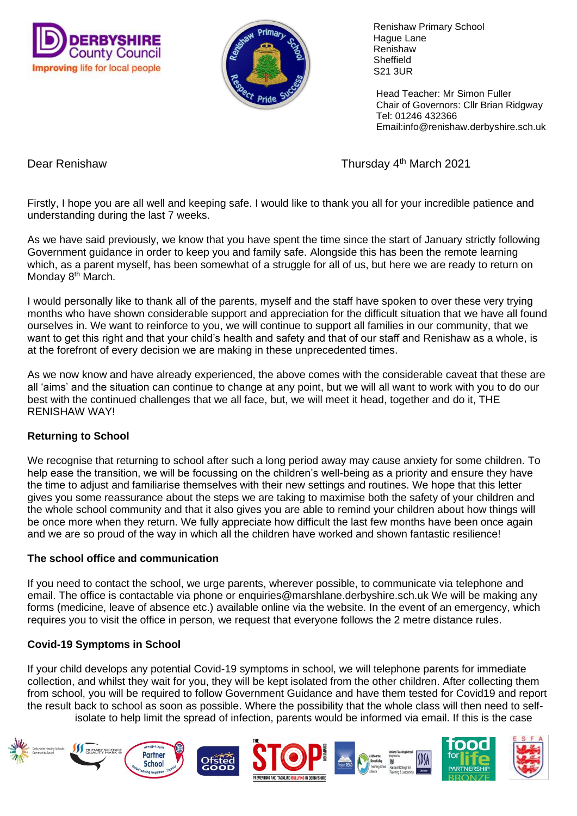



 Renishaw Primary School Hague Lane Renishaw **Sheffield** S21 3UR

 Head Teacher: Mr Simon Fuller Chair of Governors: Cllr Brian Ridgway Tel: 01246 432366 Email:info@renishaw.derbyshire.sch.uk

Dear Renishaw Thursday 4<sup>th</sup> March 2021

Firstly, I hope you are all well and keeping safe. I would like to thank you all for your incredible patience and understanding during the last 7 weeks.

As we have said previously, we know that you have spent the time since the start of January strictly following Government guidance in order to keep you and family safe. Alongside this has been the remote learning which, as a parent myself, has been somewhat of a struggle for all of us, but here we are ready to return on Monday 8<sup>th</sup> March.

I would personally like to thank all of the parents, myself and the staff have spoken to over these very trying months who have shown considerable support and appreciation for the difficult situation that we have all found ourselves in. We want to reinforce to you, we will continue to support all families in our community, that we want to get this right and that your child's health and safety and that of our staff and Renishaw as a whole, is at the forefront of every decision we are making in these unprecedented times.

As we now know and have already experienced, the above comes with the considerable caveat that these are all 'aims' and the situation can continue to change at any point, but we will all want to work with you to do our best with the continued challenges that we all face, but, we will meet it head, together and do it, THE RENISHAW WAY!

## **Returning to School**

We recognise that returning to school after such a long period away may cause anxiety for some children. To help ease the transition, we will be focussing on the children's well-being as a priority and ensure they have the time to adjust and familiarise themselves with their new settings and routines. We hope that this letter gives you some reassurance about the steps we are taking to maximise both the safety of your children and the whole school community and that it also gives you are able to remind your children about how things will be once more when they return. We fully appreciate how difficult the last few months have been once again and we are so proud of the way in which all the children have worked and shown fantastic resilience!

## **The school office and communication**

If you need to contact the school, we urge parents, wherever possible, to communicate via telephone and email. The office is contactable via phone or enquiries@marshlane.derbyshire.sch.uk We will be making any forms (medicine, leave of absence etc.) available online via the website. In the event of an emergency, which requires you to visit the office in person, we request that everyone follows the 2 metre distance rules.

## **Covid-19 Symptoms in School**

If your child develops any potential Covid-19 symptoms in school, we will telephone parents for immediate collection, and whilst they wait for you, they will be kept isolated from the other children. After collecting them from school, you will be required to follow Government Guidance and have them tested for Covid19 and report the result back to school as soon as possible. Where the possibility that the whole class will then need to selfisolate to help limit the spread of infection, parents would be informed via email. If this is the case